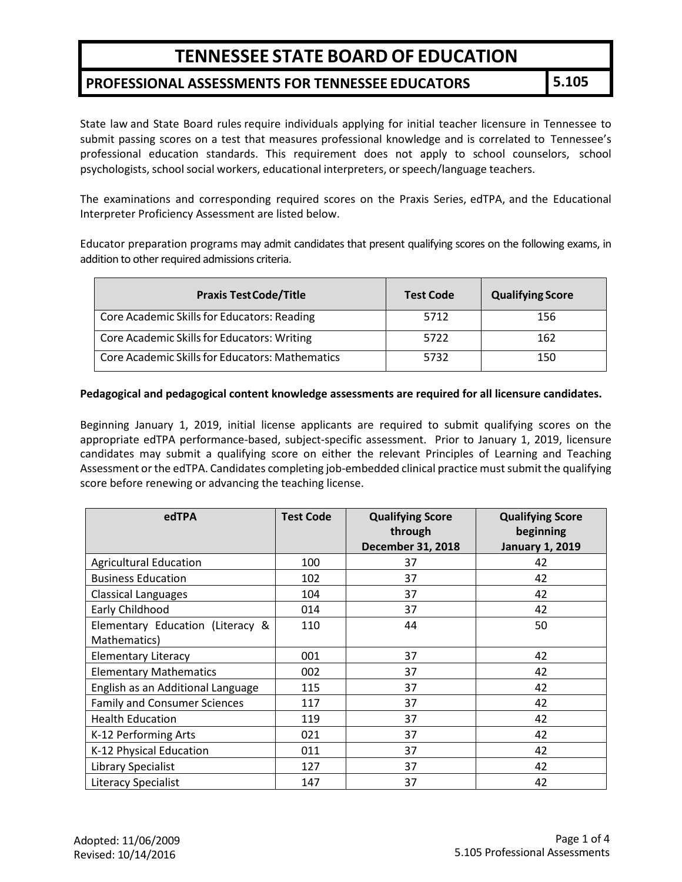#### **PROFESSIONAL ASSESSMENTS FOR TENNESSEE EDUCATORS 5.105**

State law and State Board rules require individuals applying for initial teacher licensure in Tennessee to submit passing scores on a test that measures professional knowledge and is correlated to Tennessee's professional education standards. This requirement does not apply to school counselors, school psychologists, school social workers, educational interpreters, or speech/language teachers.

The examinations and corresponding required scores on the Praxis Series, edTPA, and the Educational Interpreter Proficiency Assessment are listed below.

Educator preparation programs may admit candidates that present qualifying scores on the following exams, in addition to other required admissions criteria.

| <b>Praxis Test Code/Title</b>                   | <b>Test Code</b> | <b>Qualifying Score</b> |
|-------------------------------------------------|------------------|-------------------------|
| Core Academic Skills for Educators: Reading     | 5712             | 156                     |
| Core Academic Skills for Educators: Writing     | 5722             | 162                     |
| Core Academic Skills for Educators: Mathematics | 5732             | 150                     |

#### **Pedagogical and pedagogical content knowledge assessments are required for all licensure candidates.**

Beginning January 1, 2019, initial license applicants are required to submit qualifying scores on the appropriate edTPA performance-based, subject-specific assessment. Prior to January 1, 2019, licensure candidates may submit a qualifying score on either the relevant Principles of Learning and Teaching Assessment or the edTPA. Candidates completing job-embedded clinical practice must submit the qualifying score before renewing or advancing the teaching license.

| edTPA                                            | <b>Test Code</b> | <b>Qualifying Score</b><br>through<br>December 31, 2018 | <b>Qualifying Score</b><br>beginning<br><b>January 1, 2019</b> |
|--------------------------------------------------|------------------|---------------------------------------------------------|----------------------------------------------------------------|
| <b>Agricultural Education</b>                    | 100              | 37                                                      | 42                                                             |
| <b>Business Education</b>                        | 102              | 37                                                      | 42                                                             |
| <b>Classical Languages</b>                       | 104              | 37                                                      | 42                                                             |
| Early Childhood                                  | 014              | 37                                                      | 42                                                             |
| Elementary Education (Literacy &<br>Mathematics) | 110              | 44                                                      | 50                                                             |
| <b>Elementary Literacy</b>                       | 001              | 37                                                      | 42                                                             |
| <b>Elementary Mathematics</b>                    | 002              | 37                                                      | 42                                                             |
| English as an Additional Language                | 115              | 37                                                      | 42                                                             |
| <b>Family and Consumer Sciences</b>              | 117              | 37                                                      | 42                                                             |
| <b>Health Education</b>                          | 119              | 37                                                      | 42                                                             |
| K-12 Performing Arts                             | 021              | 37                                                      | 42                                                             |
| K-12 Physical Education                          | 011              | 37                                                      | 42                                                             |
| <b>Library Specialist</b>                        | 127              | 37                                                      | 42                                                             |
| <b>Literacy Specialist</b>                       | 147              | 37                                                      | 42                                                             |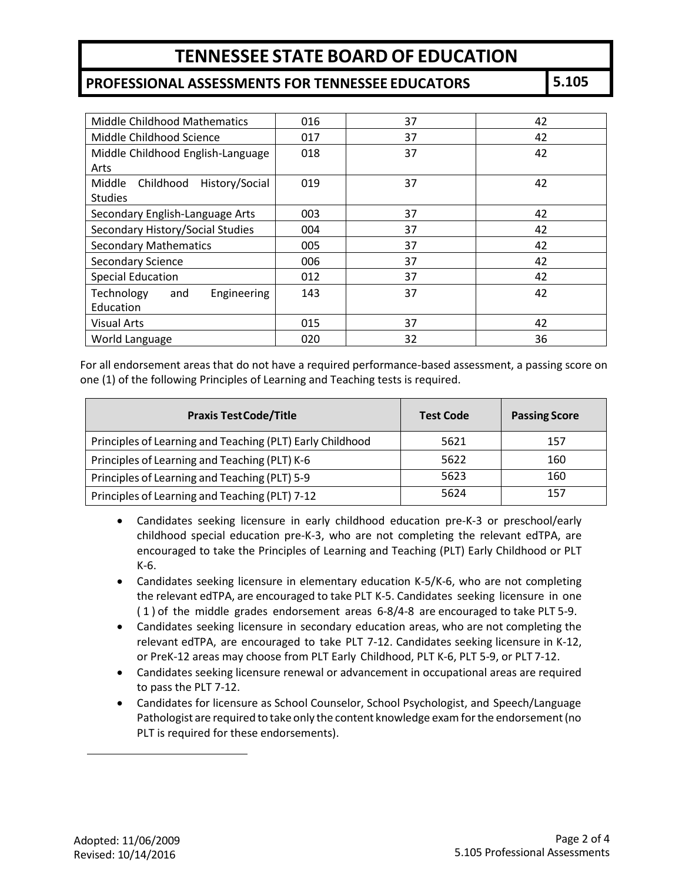### **PROFESSIONAL ASSESSMENTS FOR TENNESSEE EDUCATORS 5.105**

| <b>Middle Childhood Mathematics</b> | 016 | 37 | 42 |
|-------------------------------------|-----|----|----|
| Middle Childhood Science            | 017 | 37 | 42 |
| Middle Childhood English-Language   | 018 | 37 | 42 |
| Arts                                |     |    |    |
| History/Social<br>Middle Childhood  | 019 | 37 | 42 |
| <b>Studies</b>                      |     |    |    |
| Secondary English-Language Arts     | 003 | 37 | 42 |
| Secondary History/Social Studies    | 004 | 37 | 42 |
| <b>Secondary Mathematics</b>        | 005 | 37 | 42 |
| <b>Secondary Science</b>            | 006 | 37 | 42 |
| <b>Special Education</b>            | 012 | 37 | 42 |
| Technology<br>Engineering<br>and    | 143 | 37 | 42 |
| Education                           |     |    |    |
| <b>Visual Arts</b>                  | 015 | 37 | 42 |
| World Language                      | 020 | 32 | 36 |

For all endorsement areas that do not have a required performance-based assessment, a passing score on one (1) of the following Principles of Learning and Teaching tests is required.

| <b>Praxis Test Code/Title</b>                             | <b>Test Code</b> | <b>Passing Score</b> |
|-----------------------------------------------------------|------------------|----------------------|
| Principles of Learning and Teaching (PLT) Early Childhood | 5621             | 157                  |
| Principles of Learning and Teaching (PLT) K-6             | 5622             | 160                  |
| Principles of Learning and Teaching (PLT) 5-9             | 5623             | 160                  |
| Principles of Learning and Teaching (PLT) 7-12            | 5624             | 157                  |

- Candidates seeking licensure in early childhood education pre-K-3 or preschool/early childhood special education pre-K-3, who are not completing the relevant edTPA, are encouraged to take the Principles of Learning and Teaching (PLT) Early Childhood or PLT K-6.
- Candidates seeking licensure in elementary education K-5/K-6, who are not completing the relevant edTPA, are encouraged to take PLT K-5. Candidates seeking licensure in one (1) of the middle grades endorsement areas 6-8/4-8 are encouraged to take PLT 5-9.
- Candidates seeking licensure in secondary education areas, who are not completing the relevant edTPA, are encouraged to take PLT 7-12. Candidates seeking licensure in K-12, or PreK-12 areas may choose from PLT Early Childhood, PLT K-6, PLT 5-9, or PLT 7-12.
- Candidates seeking licensure renewal or advancement in occupational areas are required to pass the PLT 7-12.
- Candidates for licensure as School Counselor, School Psychologist, and Speech/Language Pathologist are required to take only the content knowledge exam for the endorsement (no PLT is required for these endorsements).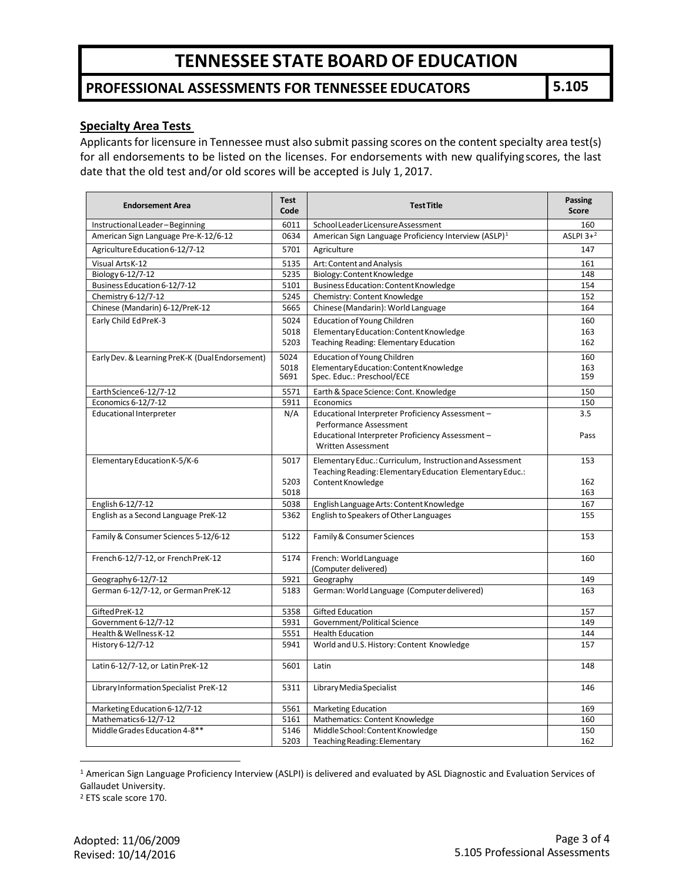## **PROFESSIONAL ASSESSMENTS FOR TENNESSEE EDUCATORS 5.105**

#### **Specialty Area Tests**

Applicants for licensure in Tennessee must also submit passing scores on the content specialty area test(s) for all endorsements to be listed on the licenses. For endorsements with new qualifyingscores, the last date that the old test and/or old scores will be accepted is July 1, 2017.

| <b>Endorsement Area</b>                         | <b>Test</b><br>Code | <b>Test Title</b>                                                | Passing<br><b>Score</b> |
|-------------------------------------------------|---------------------|------------------------------------------------------------------|-------------------------|
| Instructional Leader-Beginning                  | 6011                | School Leader Licensure Assessment                               | 160                     |
| American Sign Language Pre-K-12/6-12            | 0634                | American Sign Language Proficiency Interview (ASLP) <sup>1</sup> | ASLPI $3+2$             |
| Agriculture Education 6-12/7-12                 | 5701                | Agriculture                                                      | 147                     |
| Visual ArtsK-12                                 | 5135                | Art: Content and Analysis                                        | 161                     |
| Biology 6-12/7-12                               | 5235                | Biology: Content Knowledge                                       | 148                     |
| Business Education 6-12/7-12                    | 5101                | Business Education: Content Knowledge                            | 154                     |
| Chemistry 6-12/7-12                             | 5245                | Chemistry: Content Knowledge                                     | 152                     |
| Chinese (Mandarin) 6-12/PreK-12                 | 5665                | Chinese (Mandarin): World Language                               | 164                     |
| Early Child EdPreK-3                            | 5024                | <b>Education of Young Children</b>                               | 160                     |
|                                                 | 5018                | Elementary Education: Content Knowledge                          | 163                     |
|                                                 | 5203                | Teaching Reading: Elementary Education                           | 162                     |
| Early Dev. & Learning PreK-K (Dual Endorsement) | 5024                | Education of Young Children                                      | 160                     |
|                                                 | 5018                | Elementary Education: Content Knowledge                          | 163                     |
|                                                 | 5691                | Spec. Educ.: Preschool/ECE                                       | 159                     |
| Earth Science 6-12/7-12                         | 5571                | Earth & Space Science: Cont. Knowledge                           | 150                     |
| Economics 6-12/7-12                             | 5911                | Economics                                                        | 150                     |
| <b>Educational Interpreter</b>                  | N/A                 | Educational Interpreter Proficiency Assessment -                 | 3.5                     |
|                                                 |                     | Performance Assessment                                           |                         |
|                                                 |                     | Educational Interpreter Proficiency Assessment -                 | Pass                    |
|                                                 |                     | Written Assessment                                               |                         |
| Elementary Education K-5/K-6                    | 5017                | Elementary Educ.: Curriculum, Instruction and Assessment         | 153                     |
|                                                 |                     | Teaching Reading: Elementary Education Elementary Educ.:         |                         |
|                                                 | 5203<br>5018        | Content Knowledge                                                | 162<br>163              |
| English 6-12/7-12                               | 5038                | English Language Arts: Content Knowledge                         | 167                     |
| English as a Second Language PreK-12            | 5362                | English to Speakers of Other Languages                           | 155                     |
|                                                 |                     |                                                                  |                         |
| Family & Consumer Sciences 5-12/6-12            | 5122                | Family & Consumer Sciences                                       | 153                     |
| French 6-12/7-12, or French PreK-12             | 5174                | French: World Language                                           | 160                     |
|                                                 |                     | (Computer delivered)                                             |                         |
| Geography 6-12/7-12                             | 5921                | Geography                                                        | 149                     |
| German 6-12/7-12, or German PreK-12             | 5183                | German: World Language (Computer delivered)                      | 163                     |
|                                                 |                     |                                                                  |                         |
| Gifted PreK-12                                  | 5358                | <b>Gifted Education</b>                                          | 157                     |
| Government 6-12/7-12                            | 5931                | Government/Political Science                                     | 149                     |
| Health & Wellness K-12                          | 5551                | <b>Health Education</b>                                          | 144                     |
| History 6-12/7-12                               | 5941                | World and U.S. History: Content Knowledge                        | 157                     |
| Latin 6-12/7-12, or Latin PreK-12               | 5601                | Latin                                                            | 148                     |
| Library Information Specialist PreK-12          | 5311                | Library Media Specialist                                         | 146                     |
| Marketing Education 6-12/7-12                   | 5561                | <b>Marketing Education</b>                                       | 169                     |
| Mathematics 6-12/7-12                           | 5161                | Mathematics: Content Knowledge                                   | 160                     |
| Middle Grades Education 4-8**                   | 5146                | Middle School: Content Knowledge                                 | 150                     |
|                                                 | 5203                | Teaching Reading: Elementary                                     | 162                     |

<span id="page-2-0"></span> <sup>1</sup> American Sign Language Proficiency Interview (ASLPI) is delivered and evaluated by ASL Diagnostic and Evaluation Services of Gallaudet University.

<span id="page-2-1"></span><sup>2</sup> ETS scale score 170.